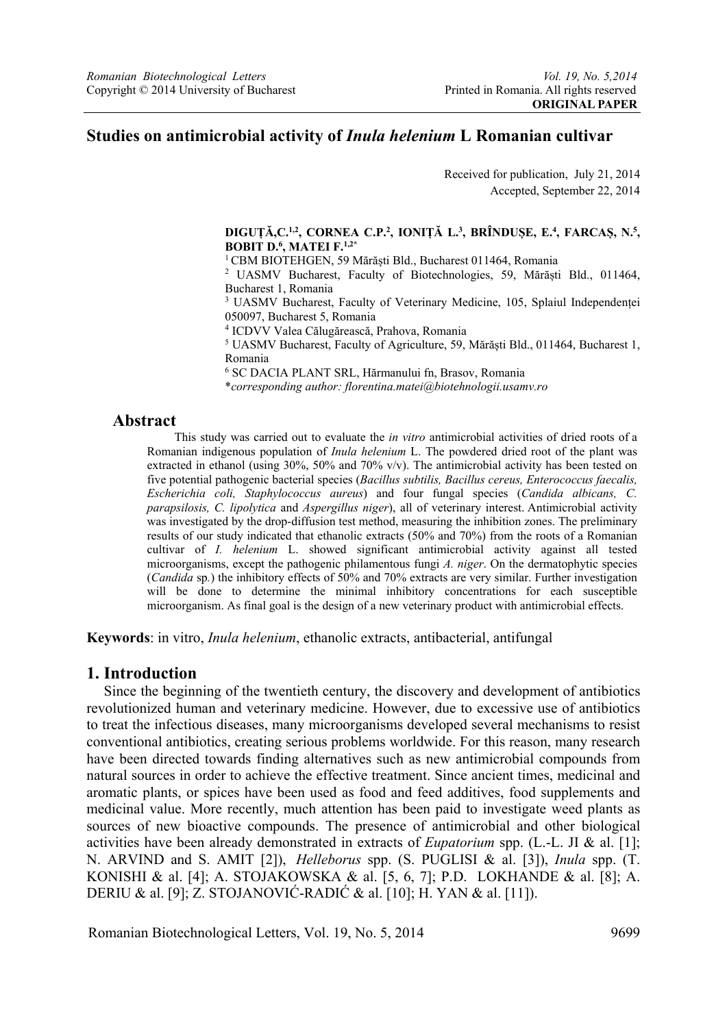### **Studies on antimicrobial activity of** *Inula helenium* **L Romanian cultivar**

Received for publication, July 21, 2014 Accepted, September 22, 2014

#### **DIGUȚĂ,C.1,2, CORNEA C.P.2 , IONIȚĂ L.3 , BRÎNDUȘE, E.4 , FARCAȘ, N.5 , BOBIT D.6 , MATEI F.1,2\***

<sup>1</sup> CBM BIOTEHGEN, 59 Mărăști Bld., Bucharest 011464, Romania

 UASMV Bucharest, Faculty of Biotechnologies, 59, Mărăști Bld., 011464, Bucharest 1, Romania

<sup>3</sup> UASMV Bucharest, Faculty of Veterinary Medicine, 105, Splaiul Independenței 050097, Bucharest 5, Romania

4 ICDVV Valea Călugărească, Prahova, Romania 5

 UASMV Bucharest, Faculty of Agriculture, 59, Mărăști Bld., 011464, Bucharest 1, Romania

6 SC DACIA PLANT SRL, Hărmanului fn, Brasov, Romania

\**corresponding author: florentina.matei@biotehnologii.usamv.ro*

#### **Abstract**

This study was carried out to evaluate the *in vitro* antimicrobial activities of dried roots of a Romanian indigenous population of *Inula helenium* L. The powdered dried root of the plant was extracted in ethanol (using  $30\%$ ,  $50\%$  and  $70\%$  v/v). The antimicrobial activity has been tested on five potential pathogenic bacterial species (*Bacillus subtilis, Bacillus cereus, Enterococcus faecalis, Escherichia coli, Staphylococcus aureus*) and four fungal species (*Candida albicans, C. parapsilosis, C. lipolytica* and *Aspergillus niger*), all of veterinary interest. Antimicrobial activity was investigated by the drop-diffusion test method, measuring the inhibition zones. The preliminary results of our study indicated that ethanolic extracts (50% and 70%) from the roots of a Romanian cultivar of *I. helenium* L. showed significant antimicrobial activity against all tested microorganisms, except the pathogenic philamentous fungi *A. niger*. On the dermatophytic species (*Candida* sp*.*) the inhibitory effects of 50% and 70% extracts are very similar. Further investigation will be done to determine the minimal inhibitory concentrations for each susceptible microorganism. As final goal is the design of a new veterinary product with antimicrobial effects.

**Keywords**: in vitro, *Inula helenium*, ethanolic extracts, antibacterial, antifungal

#### **1. Introduction**

Since the beginning of the twentieth century, the discovery and development of antibiotics revolutionized human and veterinary medicine. However, due to excessive use of antibiotics to treat the infectious diseases, many microorganisms developed several mechanisms to resist conventional antibiotics, creating serious problems worldwide. For this reason, many research have been directed towards finding alternatives such as new antimicrobial compounds from natural sources in order to achieve the effective treatment. Since ancient times, medicinal and aromatic plants, or spices have been used as food and feed additives, food supplements and medicinal value. More recently, much attention has been paid to investigate weed plants as sources of new bioactive compounds. The presence of antimicrobial and other biological activities have been already demonstrated in extracts of *Eupatorium* spp. (L.-L. JI & al. [1]; N. ARVIND and S. AMIT [2]), *Helleborus* spp. (S. PUGLISI & al. [3]), *Inula* spp. (T. KONISHI & al. [4]; A. STOJAKOWSKA & al. [5, 6, 7]; P.D. LOKHANDE & al. [8]; A. DERIU & al. [9]; Z. STOJANOVIĆ-RADIĆ & al. [10]; H. YAN & al. [11]).

Romanian Biotechnological Letters, Vol. 19, No. 5, 2014 9699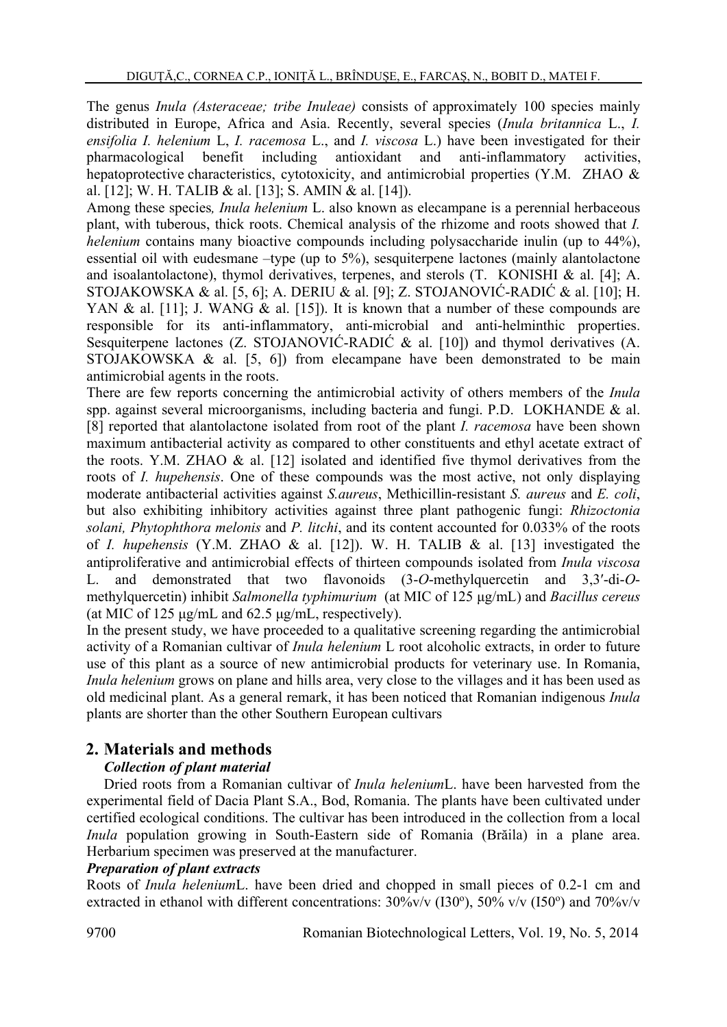The genus *Inula (Asteraceae; tribe Inuleae)* consists of approximately 100 species mainly distributed in Europe, Africa and Asia. Recently, several species (*Inula britannica* L., *I. ensifolia I. helenium* L, *I. racemosa* L., and *I. viscosa* L.) have been investigated for their pharmacological benefit including antioxidant and anti-inflammatory activities, hepatoprotective characteristics, cytotoxicity, and antimicrobial properties (Y.M. ZHAO & al. [12]; W. H. TALIB & al. [13]; S. AMIN & al. [14]).

Among these species*, Inula helenium* L. also known as elecampane is a perennial herbaceous plant, with tuberous, thick roots. Chemical analysis of the rhizome and roots showed that *I. helenium* contains many bioactive compounds including polysaccharide inulin (up to 44%), essential oil with eudesmane –type (up to 5%), sesquiterpene lactones (mainly alantolactone and isoalantolactone), thymol derivatives, terpenes, and sterols (T. KONISHI & al. [4]; A. STOJAKOWSKA & al. [5, 6]; A. DERIU & al. [9]; Z. STOJANOVIĆ-RADIĆ & al. [10]; H. YAN & al. [11]; J. WANG & al. [15]). It is known that a number of these compounds are responsible for its anti-inflammatory, anti-microbial and anti-helminthic properties. Sesquiterpene lactones (Z. STOJANOVIĆ-RADIĆ & al. [10]) and thymol derivatives (A. STOJAKOWSKA & al. [5, 6]) from elecampane have been demonstrated to be main antimicrobial agents in the roots.

There are few reports concerning the antimicrobial activity of others members of the *Inula* spp. against several microorganisms, including bacteria and fungi. P.D. LOKHANDE & al. [8] reported that alantolactone isolated from root of the plant *I. racemosa* have been shown maximum antibacterial activity as compared to other constituents and ethyl acetate extract of the roots. Y.M. ZHAO & al. [12] isolated and identified five thymol derivatives from the roots of *I. hupehensis*. One of these compounds was the most active, not only displaying moderate antibacterial activities against *S.aureus*, Methicillin-resistant *S. aureus* and *E. coli*, but also exhibiting inhibitory activities against three plant pathogenic fungi: *Rhizoctonia solani, Phytophthora melonis* and *P. litchi*, and its content accounted for 0.033% of the roots of *I. hupehensis* (Y.M. ZHAO & al. [12]). W. H. TALIB & al. [13] investigated the antiproliferative and antimicrobial effects of thirteen compounds isolated from *Inula viscosa*  L. and demonstrated that two flavonoids (3-*O*-methylquercetin and 3,3′-di-*O*methylquercetin) inhibit *Salmonella typhimurium* (at MIC of 125 μg/mL) and *Bacillus cereus* (at MIC of 125 μg/mL and 62.5 μg/mL, respectively).

In the present study, we have proceeded to a qualitative screening regarding the antimicrobial activity of a Romanian cultivar of *Inula helenium* L root alcoholic extracts, in order to future use of this plant as a source of new antimicrobial products for veterinary use. In Romania, *Inula helenium* grows on plane and hills area, very close to the villages and it has been used as old medicinal plant. As a general remark, it has been noticed that Romanian indigenous *Inula* plants are shorter than the other Southern European cultivars

# **2. Materials and methods**

### *Collection of plant material*

Dried roots from a Romanian cultivar of *Inula helenium*L. have been harvested from the experimental field of Dacia Plant S.A., Bod, Romania. The plants have been cultivated under certified ecological conditions. The cultivar has been introduced in the collection from a local *Inula* population growing in South-Eastern side of Romania (Brăila) in a plane area. Herbarium specimen was preserved at the manufacturer.

#### *Preparation of plant extracts*

Roots of *Inula helenium*L. have been dried and chopped in small pieces of 0.2-1 cm and extracted in ethanol with different concentrations:  $30\%$ v/v (I30°),  $50\%$  v/v (I50°) and  $70\%$ v/v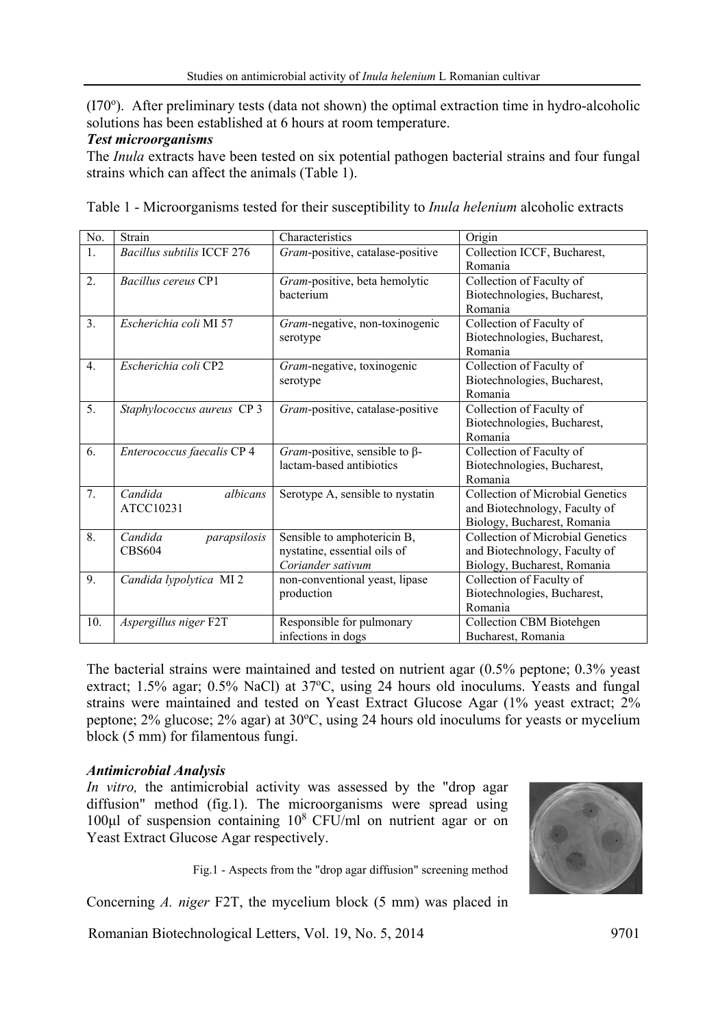(I70°). After preliminary tests (data not shown) the optimal extraction time in hydro-alcoholic solutions has been established at 6 hours at room temperature.

### *Test microorganisms*

The *Inula* extracts have been tested on six potential pathogen bacterial strains and four fungal strains which can affect the animals (Table 1).

| No.              | Strain                                   | Characteristics                                                                  | Origin                                                                                                  |
|------------------|------------------------------------------|----------------------------------------------------------------------------------|---------------------------------------------------------------------------------------------------------|
| $\overline{1}$ . | <b>Bacillus subtilis ICCF 276</b>        | Gram-positive, catalase-positive                                                 | Collection ICCF, Bucharest,<br>Romania                                                                  |
| 2.               | Bacillus cereus CP1                      | Gram-positive, beta hemolytic<br>bacterium                                       | Collection of Faculty of<br>Biotechnologies, Bucharest,<br>Romania                                      |
| 3 <sub>1</sub>   | Escherichia coli MI 57                   | Gram-negative, non-toxinogenic<br>serotype                                       | Collection of Faculty of<br>Biotechnologies, Bucharest,<br>Romania                                      |
| $\overline{4}$ . | Escherichia coli CP2                     | Gram-negative, toxinogenic<br>serotype                                           | Collection of Faculty of<br>Biotechnologies, Bucharest,<br>Romania                                      |
| 5.               | Staphylococcus aureus CP 3               | Gram-positive, catalase-positive                                                 | Collection of Faculty of<br>Biotechnologies, Bucharest,<br>Romania                                      |
| 6.               | Enterococcus faecalis CP 4               | Gram-positive, sensible to $\beta$ -<br>lactam-based antibiotics                 | Collection of Faculty of<br>Biotechnologies, Bucharest,<br>Romania                                      |
| 7.               | Candida<br>albicans<br>ATCC10231         | Serotype A, sensible to nystatin                                                 | Collection of Microbial Genetics<br>and Biotechnology, Faculty of<br>Biology, Bucharest, Romania        |
| 8.               | Candida<br>parapsilosis<br><b>CBS604</b> | Sensible to amphotericin B,<br>nystatine, essential oils of<br>Coriander sativum | <b>Collection of Microbial Genetics</b><br>and Biotechnology, Faculty of<br>Biology, Bucharest, Romania |
| 9.               | Candida lypolytica MI <sub>2</sub>       | non-conventional yeast, lipase<br>production                                     | Collection of Faculty of<br>Biotechnologies, Bucharest,<br>Romania                                      |
| 10.              | Aspergillus niger F2T                    | Responsible for pulmonary<br>infections in dogs                                  | <b>Collection CBM Biotehgen</b><br>Bucharest, Romania                                                   |

Table 1 - Microorganisms tested for their susceptibility to *Inula helenium* alcoholic extracts

The bacterial strains were maintained and tested on nutrient agar (0.5% peptone; 0.3% yeast extract; 1.5% agar; 0.5% NaCl) at 37°C, using 24 hours old inoculums. Yeasts and fungal strains were maintained and tested on Yeast Extract Glucose Agar (1% yeast extract; 2% peptone; 2% glucose; 2% agar) at 30°C, using 24 hours old inoculums for yeasts or mycelium block (5 mm) for filamentous fungi.

### *Antimicrobial Analysis*

*In vitro,* the antimicrobial activity was assessed by the "drop agar diffusion" method (fig.1). The microorganisms were spread using 100 $\mu$ l of suspension containing 10<sup>8</sup> CFU/ml on nutrient agar or on Yeast Extract Glucose Agar respectively.

Fig.1 - Aspects from the "drop agar diffusion" screening method

Concerning *A. niger* F2T, the mycelium block (5 mm) was placed in

Romanian Biotechnological Letters, Vol. 19, No. 5, 2014 9701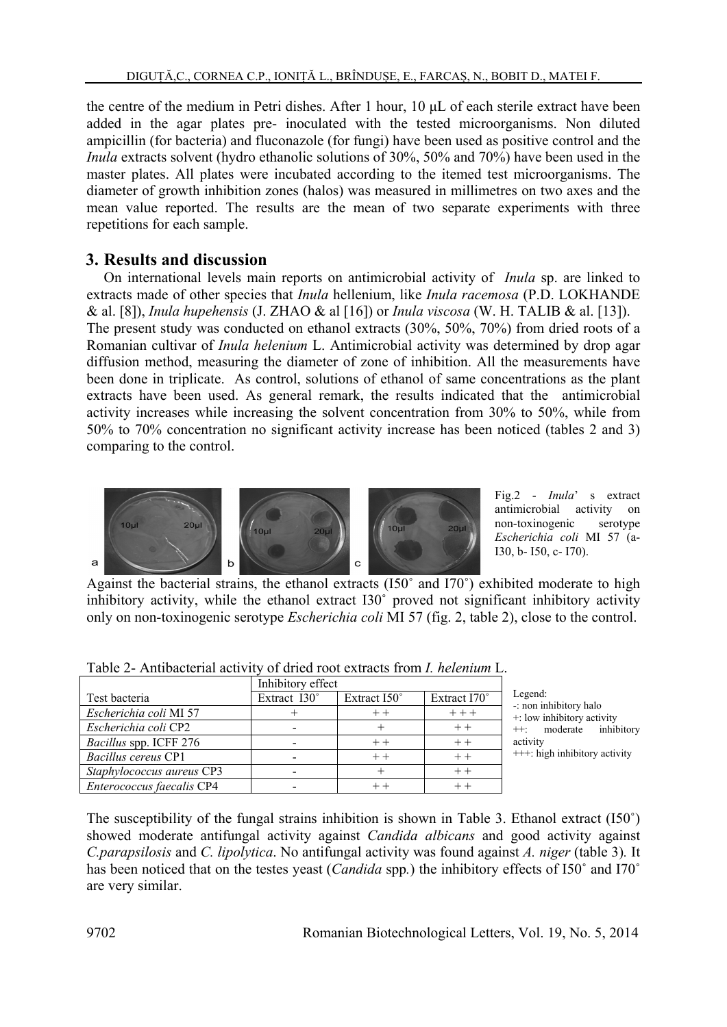the centre of the medium in Petri dishes. After 1 hour, 10 μL of each sterile extract have been added in the agar plates pre- inoculated with the tested microorganisms. Non diluted ampicillin (for bacteria) and fluconazole (for fungi) have been used as positive control and the *Inula* extracts solvent (hydro ethanolic solutions of 30%, 50% and 70%) have been used in the master plates. All plates were incubated according to the itemed test microorganisms. The diameter of growth inhibition zones (halos) was measured in millimetres on two axes and the mean value reported. The results are the mean of two separate experiments with three repetitions for each sample.

## **3. Results and discussion**

On international levels main reports on antimicrobial activity of *Inula* sp. are linked to extracts made of other species that *Inula* hellenium, like *Inula racemosa* (P.D. LOKHANDE & al. [8]), *Inula hupehensis* (J. ZHAO & al [16]) or *Inula viscosa* (W. H. TALIB & al. [13]). The present study was conducted on ethanol extracts (30%, 50%, 70%) from dried roots of a Romanian cultivar of *Inula helenium* L. Antimicrobial activity was determined by drop agar diffusion method, measuring the diameter of zone of inhibition. All the measurements have been done in triplicate. As control, solutions of ethanol of same concentrations as the plant extracts have been used. As general remark, the results indicated that the antimicrobial activity increases while increasing the solvent concentration from 30% to 50%, while from 50% to 70% concentration no significant activity increase has been noticed (tables 2 and 3) comparing to the control.



Fig.2 - *Inula*' s extract antimicrobial activity on non-toxinogenic serotype *Escherichia coli* MI 57 (a-I30, b- I50, c- I70).

Against the bacterial strains, the ethanol extracts (I50˚ and I70˚) exhibited moderate to high inhibitory activity, while the ethanol extract I30˚ proved not significant inhibitory activity only on non-toxinogenic serotype *Escherichia coli* MI 57 (fig. 2, table 2), close to the control.

|                           | Inhibitory effect |              |              |
|---------------------------|-------------------|--------------|--------------|
| Test bacteria             | Extract I30°      | Extract I50° | Extract I70° |
| Escherichia coli MI 57    |                   | $++$         | $+ + +$      |
| Escherichia coli CP2      |                   |              |              |
| Bacillus spp. ICFF 276    |                   |              |              |
| Bacillus cereus CP1       |                   | $+ +$        | $++$         |
| Staphylococcus aureus CP3 |                   |              |              |
| Enterococcus faecalis CP4 |                   |              |              |

Table 2- Antibacterial activity of dried root extracts from *I. helenium* L.

Legend: -: non inhibitory halo +: low inhibitory activity ++: moderate inhibitory activity +++: high inhibitory activity

The susceptibility of the fungal strains inhibition is shown in Table 3. Ethanol extract (I50˚) showed moderate antifungal activity against *Candida albicans* and good activity against *C.parapsilosis* and *C. lipolytica*. No antifungal activity was found against *A. niger* (table 3)*.* It has been noticed that on the testes yeast (*Candida* spp*.*) the inhibitory effects of I50˚ and I70˚ are very similar.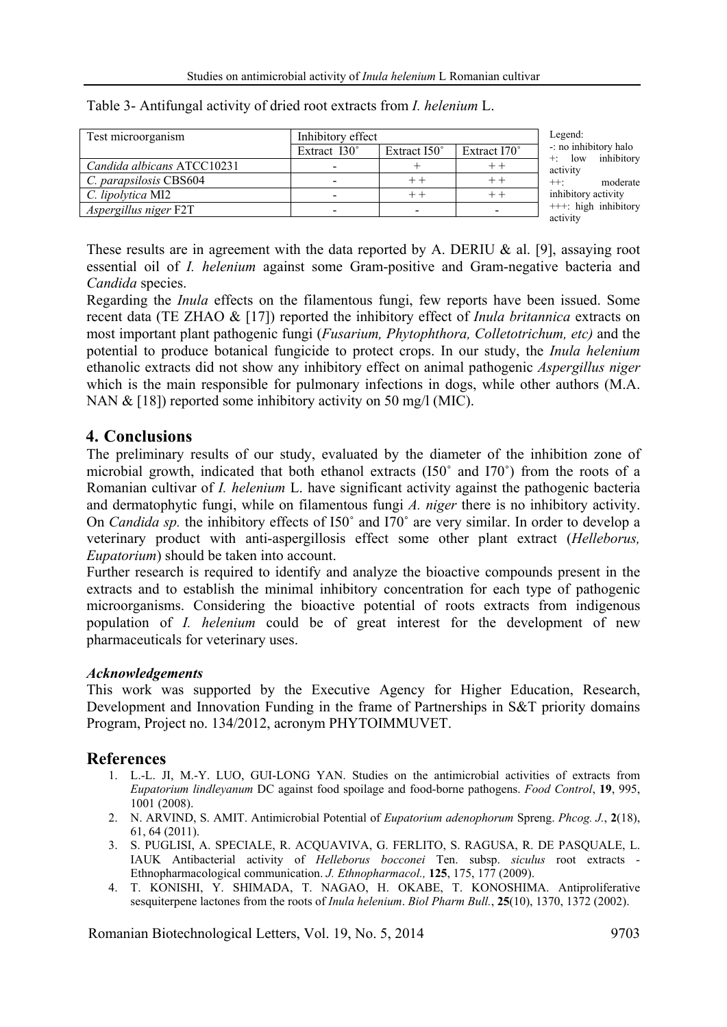| Test microorganism         | Inhibitory effect   |                     |              |
|----------------------------|---------------------|---------------------|--------------|
|                            | Extract $130^\circ$ | Extract $150^\circ$ | Extract I70° |
| Candida albicans ATCC10231 |                     |                     |              |
| C. parapsilosis CBS604     |                     |                     |              |
| C. lipolytica MI2          |                     |                     |              |
| Aspergillus niger F2T      | -                   |                     |              |

Table 3- Antifungal activity of dried root extracts from *I. helenium* L.

Legend: o inhibitory halo low inhibitory vity moderate ibitory activity +: high inhibitory activity

These results are in agreement with the data reported by A. DERIU  $\&$  al. [9], assaying root essential oil of *I. helenium* against some Gram-positive and Gram-negative bacteria and *Candida* species.

Regarding the *Inula* effects on the filamentous fungi, few reports have been issued. Some recent data (TE ZHAO & [17]) reported the inhibitory effect of *Inula britannica* extracts on most important plant pathogenic fungi (*Fusarium, Phytophthora, Colletotrichum, etc)* and the potential to produce botanical fungicide to protect crops. In our study, the *Inula helenium*  ethanolic extracts did not show any inhibitory effect on animal pathogenic *Aspergillus niger* which is the main responsible for pulmonary infections in dogs, while other authors  $(M.A.$ NAN & [18]) reported some inhibitory activity on 50 mg/l (MIC).

## **4. Conclusions**

The preliminary results of our study, evaluated by the diameter of the inhibition zone of microbial growth, indicated that both ethanol extracts (I50˚ and I70˚) from the roots of a Romanian cultivar of *I. helenium* L. have significant activity against the pathogenic bacteria and dermatophytic fungi, while on filamentous fungi *A. niger* there is no inhibitory activity. On *Candida sp.* the inhibitory effects of I50˚ and I70˚ are very similar. In order to develop a veterinary product with anti-aspergillosis effect some other plant extract (*Helleborus, Eupatorium*) should be taken into account.

Further research is required to identify and analyze the bioactive compounds present in the extracts and to establish the minimal inhibitory concentration for each type of pathogenic microorganisms. Considering the bioactive potential of roots extracts from indigenous population of *I. helenium* could be of great interest for the development of new pharmaceuticals for veterinary uses.

#### *Acknowledgements*

This work was supported by the Executive Agency for Higher Education, Research, Development and Innovation Funding in the frame of Partnerships in S&T priority domains Program, Project no. 134/2012, acronym PHYTOIMMUVET.

# **References**

- 1. L.-L. JI, M.-Y. LUO, GUI-LONG YAN. Studies on the antimicrobial activities of extracts from *Eupatorium lindleyanum* DC against food spoilage and food-borne pathogens. *Food Control*, **19**, 995, 1001 (2008).
- 2. N. ARVIND, S. AMIT. Antimicrobial Potential of *Eupatorium adenophorum* Spreng. *Phcog. J.*, **2**(18), 61, 64 (2011).
- 3. S. PUGLISI, A. SPECIALE, R. ACQUAVIVA, G. FERLITO, S. RAGUSA, R. DE PASQUALE, L. IAUK Antibacterial activity of *Helleborus bocconei* Ten. subsp. *siculus* root extracts - Ethnopharmacological communication. *J. Ethnopharmacol.,* **125**, 175, 177 (2009).
- 4. T. KONISHI, Y. SHIMADA, T. NAGAO, H. OKABE, T. KONOSHIMA. Antiproliferative sesquiterpene lactones from the roots of *Inula helenium*. *Biol Pharm Bull.*, **25**(10), 1370, 1372 (2002).

Romanian Biotechnological Letters, Vol. 19, No. 5, 2014 9703